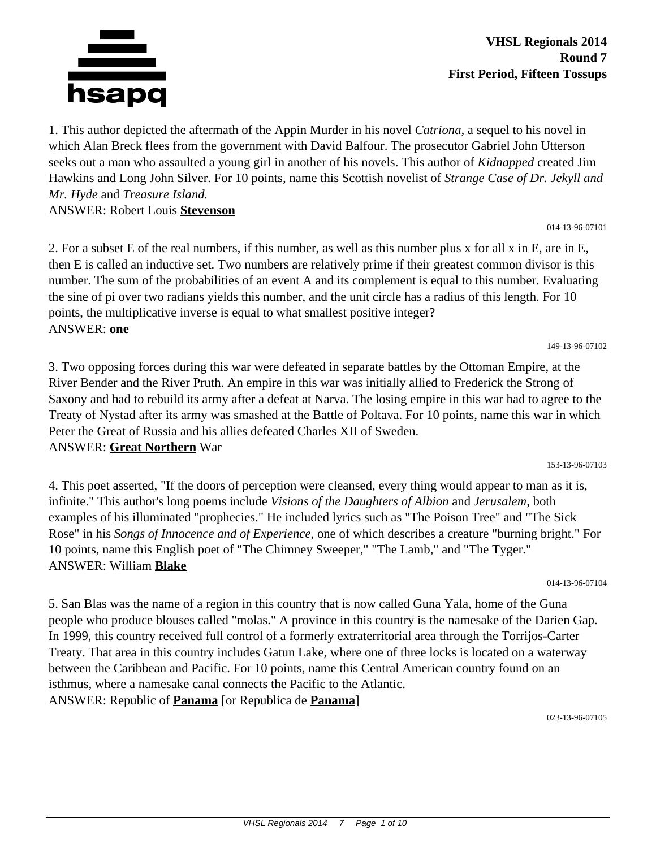

#### **VHSL Regionals 2014 Round 7 First Period, Fifteen Tossups**

1. This author depicted the aftermath of the Appin Murder in his novel *Catriona,* a sequel to his novel in which Alan Breck flees from the government with David Balfour. The prosecutor Gabriel John Utterson seeks out a man who assaulted a young girl in another of his novels. This author of *Kidnapped* created Jim Hawkins and Long John Silver. For 10 points, name this Scottish novelist of *Strange Case of Dr. Jekyll and Mr. Hyde* and *Treasure Island.* ANSWER: Robert Louis **Stevenson**

014-13-96-07101

149-13-96-07102

2. For a subset E of the real numbers, if this number, as well as this number plus x for all x in E, are in E, then E is called an inductive set. Two numbers are relatively prime if their greatest common divisor is this number. The sum of the probabilities of an event A and its complement is equal to this number. Evaluating the sine of pi over two radians yields this number, and the unit circle has a radius of this length. For 10 points, the multiplicative inverse is equal to what smallest positive integer? ANSWER: **one**

3. Two opposing forces during this war were defeated in separate battles by the Ottoman Empire, at the River Bender and the River Pruth. An empire in this war was initially allied to Frederick the Strong of Saxony and had to rebuild its army after a defeat at Narva. The losing empire in this war had to agree to the Treaty of Nystad after its army was smashed at the Battle of Poltava. For 10 points, name this war in which Peter the Great of Russia and his allies defeated Charles XII of Sweden. ANSWER: **Great Northern** War

153-13-96-07103

4. This poet asserted, "If the doors of perception were cleansed, every thing would appear to man as it is, infinite." This author's long poems include *Visions of the Daughters of Albion* and *Jerusalem,* both examples of his illuminated "prophecies." He included lyrics such as "The Poison Tree" and "The Sick Rose" in his *Songs of Innocence and of Experience,* one of which describes a creature "burning bright." For 10 points, name this English poet of "The Chimney Sweeper," "The Lamb," and "The Tyger." ANSWER: William **Blake**

014-13-96-07104

5. San Blas was the name of a region in this country that is now called Guna Yala, home of the Guna people who produce blouses called "molas." A province in this country is the namesake of the Darien Gap. In 1999, this country received full control of a formerly extraterritorial area through the Torrijos-Carter Treaty. That area in this country includes Gatun Lake, where one of three locks is located on a waterway between the Caribbean and Pacific. For 10 points, name this Central American country found on an isthmus, where a namesake canal connects the Pacific to the Atlantic. ANSWER: Republic of **Panama** [or Republica de **Panama**]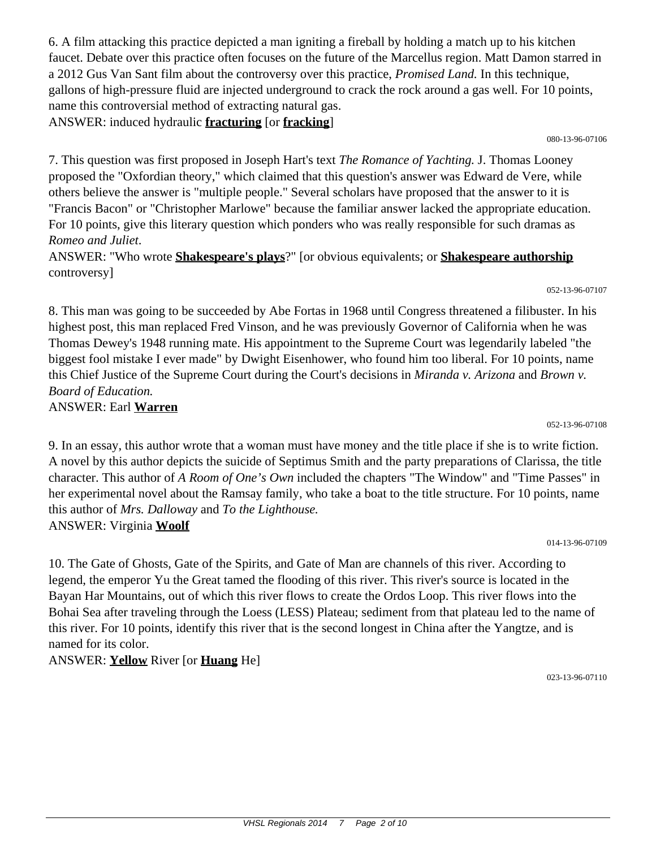6. A film attacking this practice depicted a man igniting a fireball by holding a match up to his kitchen faucet. Debate over this practice often focuses on the future of the Marcellus region. Matt Damon starred in a 2012 Gus Van Sant film about the controversy over this practice, *Promised Land.* In this technique, gallons of high-pressure fluid are injected underground to crack the rock around a gas well. For 10 points, name this controversial method of extracting natural gas. ANSWER: induced hydraulic **fracturing** [or **fracking**]

080-13-96-07106

7. This question was first proposed in Joseph Hart's text *The Romance of Yachting.* J. Thomas Looney proposed the "Oxfordian theory," which claimed that this question's answer was Edward de Vere, while others believe the answer is "multiple people." Several scholars have proposed that the answer to it is "Francis Bacon" or "Christopher Marlowe" because the familiar answer lacked the appropriate education. For 10 points, give this literary question which ponders who was really responsible for such dramas as *Romeo and Juliet*.

ANSWER: "Who wrote **Shakespeare's plays**?" [or obvious equivalents; or **Shakespeare authorship** controversy]

052-13-96-07107

8. This man was going to be succeeded by Abe Fortas in 1968 until Congress threatened a filibuster. In his highest post, this man replaced Fred Vinson, and he was previously Governor of California when he was Thomas Dewey's 1948 running mate. His appointment to the Supreme Court was legendarily labeled "the biggest fool mistake I ever made" by Dwight Eisenhower, who found him too liberal. For 10 points, name this Chief Justice of the Supreme Court during the Court's decisions in *Miranda v. Arizona* and *Brown v. Board of Education.* ANSWER: Earl **Warren**

052-13-96-07108

9. In an essay, this author wrote that a woman must have money and the title place if she is to write fiction. A novel by this author depicts the suicide of Septimus Smith and the party preparations of Clarissa, the title character. This author of *A Room of One's Own* included the chapters "The Window" and "Time Passes" in her experimental novel about the Ramsay family, who take a boat to the title structure. For 10 points, name this author of *Mrs. Dalloway* and *To the Lighthouse.* ANSWER: Virginia **Woolf**

014-13-96-07109

10. The Gate of Ghosts, Gate of the Spirits, and Gate of Man are channels of this river. According to legend, the emperor Yu the Great tamed the flooding of this river. This river's source is located in the Bayan Har Mountains, out of which this river flows to create the Ordos Loop. This river flows into the Bohai Sea after traveling through the Loess (LESS) Plateau; sediment from that plateau led to the name of this river. For 10 points, identify this river that is the second longest in China after the Yangtze, and is named for its color.

ANSWER: **Yellow** River [or **Huang** He]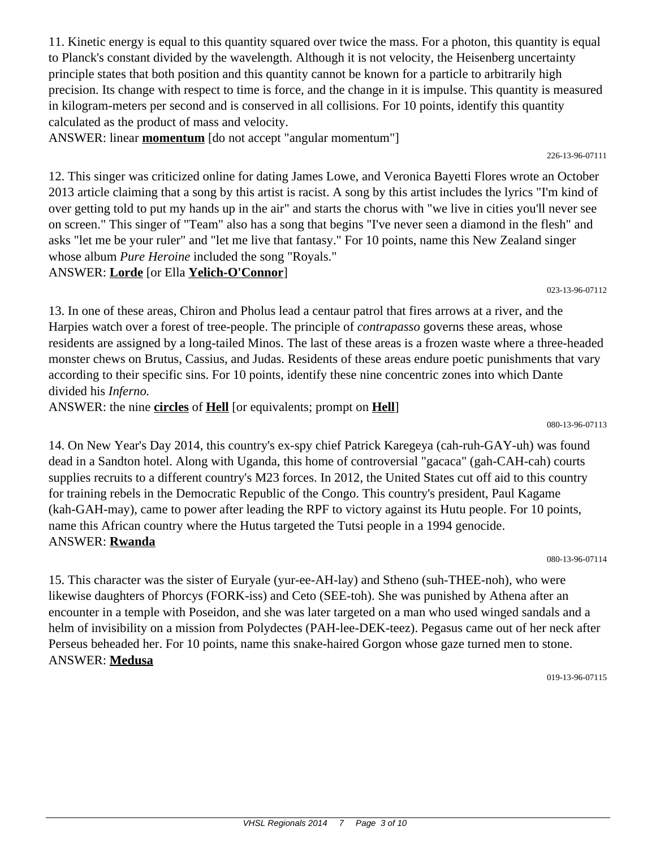11. Kinetic energy is equal to this quantity squared over twice the mass. For a photon, this quantity is equal to Planck's constant divided by the wavelength. Although it is not velocity, the Heisenberg uncertainty principle states that both position and this quantity cannot be known for a particle to arbitrarily high precision. Its change with respect to time is force, and the change in it is impulse. This quantity is measured in kilogram-meters per second and is conserved in all collisions. For 10 points, identify this quantity calculated as the product of mass and velocity.

ANSWER: linear **momentum** [do not accept "angular momentum"]

12. This singer was criticized online for dating James Lowe, and Veronica Bayetti Flores wrote an October 2013 article claiming that a song by this artist is racist. A song by this artist includes the lyrics "I'm kind of over getting told to put my hands up in the air" and starts the chorus with "we live in cities you'll never see on screen." This singer of "Team" also has a song that begins "I've never seen a diamond in the flesh" and asks "let me be your ruler" and "let me live that fantasy." For 10 points, name this New Zealand singer whose album *Pure Heroine* included the song "Royals."

## ANSWER: **Lorde** [or Ella **Yelich-O'Connor**]

13. In one of these areas, Chiron and Pholus lead a centaur patrol that fires arrows at a river, and the Harpies watch over a forest of tree-people. The principle of *contrapasso* governs these areas, whose residents are assigned by a long-tailed Minos. The last of these areas is a frozen waste where a three-headed monster chews on Brutus, Cassius, and Judas. Residents of these areas endure poetic punishments that vary according to their specific sins. For 10 points, identify these nine concentric zones into which Dante divided his *Inferno.*

ANSWER: the nine **circles** of **Hell** [or equivalents; prompt on **Hell**]

14. On New Year's Day 2014, this country's ex-spy chief Patrick Karegeya (cah-ruh-GAY-uh) was found dead in a Sandton hotel. Along with Uganda, this home of controversial "gacaca" (gah-CAH-cah) courts supplies recruits to a different country's M23 forces. In 2012, the United States cut off aid to this country for training rebels in the Democratic Republic of the Congo. This country's president, Paul Kagame (kah-GAH-may), came to power after leading the RPF to victory against its Hutu people. For 10 points, name this African country where the Hutus targeted the Tutsi people in a 1994 genocide. ANSWER: **Rwanda**

15. This character was the sister of Euryale (yur-ee-AH-lay) and Stheno (suh-THEE-noh), who were likewise daughters of Phorcys (FORK-iss) and Ceto (SEE-toh). She was punished by Athena after an encounter in a temple with Poseidon, and she was later targeted on a man who used winged sandals and a helm of invisibility on a mission from Polydectes (PAH-lee-DEK-teez). Pegasus came out of her neck after Perseus beheaded her. For 10 points, name this snake-haired Gorgon whose gaze turned men to stone. ANSWER: **Medusa**

019-13-96-07115

080-13-96-07114

#### 080-13-96-07113

#### 226-13-96-07111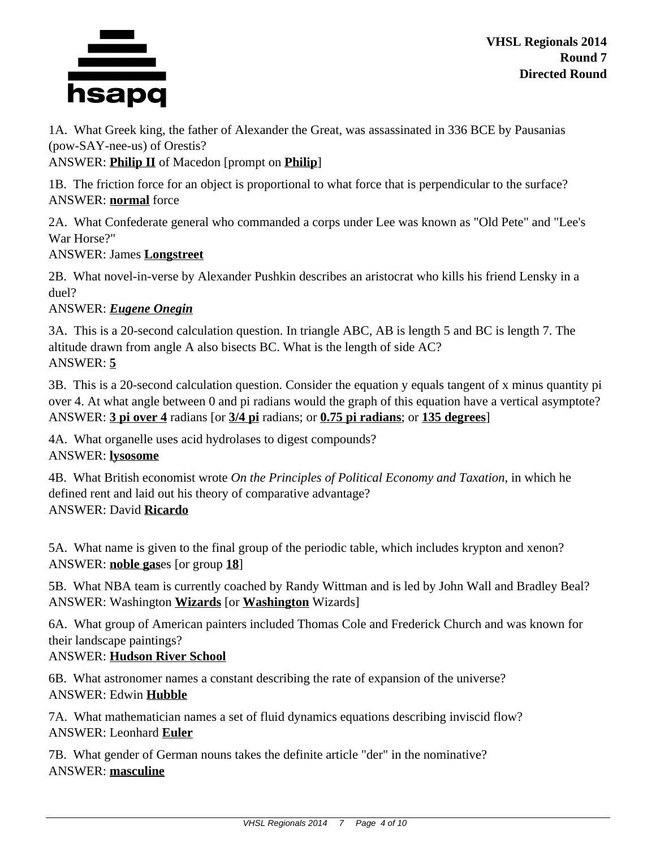

**VHSL Regionals 2014 Round 7 Directed Round**

1A. What Greek king, the father of Alexander the Great, was assassinated in 336 BCE by Pausanias (pow-SAY-nee-us) of Orestis?

ANSWER: **Philip II** of Macedon [prompt on **Philip**]

1B. The friction force for an object is proportional to what force that is perpendicular to the surface? ANSWER: **normal** force

2A. What Confederate general who commanded a corps under Lee was known as "Old Pete" and "Lee's War Horse?"

#### ANSWER: James **Longstreet**

2B. What novel-in-verse by Alexander Pushkin describes an aristocrat who kills his friend Lensky in a duel?

### ANSWER: *Eugene Onegin*

3A. This is a 20-second calculation question. In triangle ABC, AB is length 5 and BC is length 7. The altitude drawn from angle A also bisects BC. What is the length of side AC? ANSWER: **5**

3B. This is a 20-second calculation question. Consider the equation y equals tangent of x minus quantity pi over 4. At what angle between 0 and pi radians would the graph of this equation have a vertical asymptote? ANSWER: **3 pi over 4** radians [or **3/4 pi** radians; or **0.75 pi radians**; or **135 degrees**]

4A. What organelle uses acid hydrolases to digest compounds?

ANSWER: **lysosome**

4B. What British economist wrote *On the Principles of Political Economy and Taxation,* in which he defined rent and laid out his theory of comparative advantage? ANSWER: David **Ricardo**

5A. What name is given to the final group of the periodic table, which includes krypton and xenon? ANSWER: **noble gas**es [or group **18**]

5B. What NBA team is currently coached by Randy Wittman and is led by John Wall and Bradley Beal? ANSWER: Washington **Wizards** [or **Washington** Wizards]

6A. What group of American painters included Thomas Cole and Frederick Church and was known for their landscape paintings?

#### ANSWER: **Hudson River School**

6B. What astronomer names a constant describing the rate of expansion of the universe? ANSWER: Edwin **Hubble**

7A. What mathematician names a set of fluid dynamics equations describing inviscid flow? ANSWER: Leonhard **Euler**

7B. What gender of German nouns takes the definite article "der" in the nominative? ANSWER: **masculine**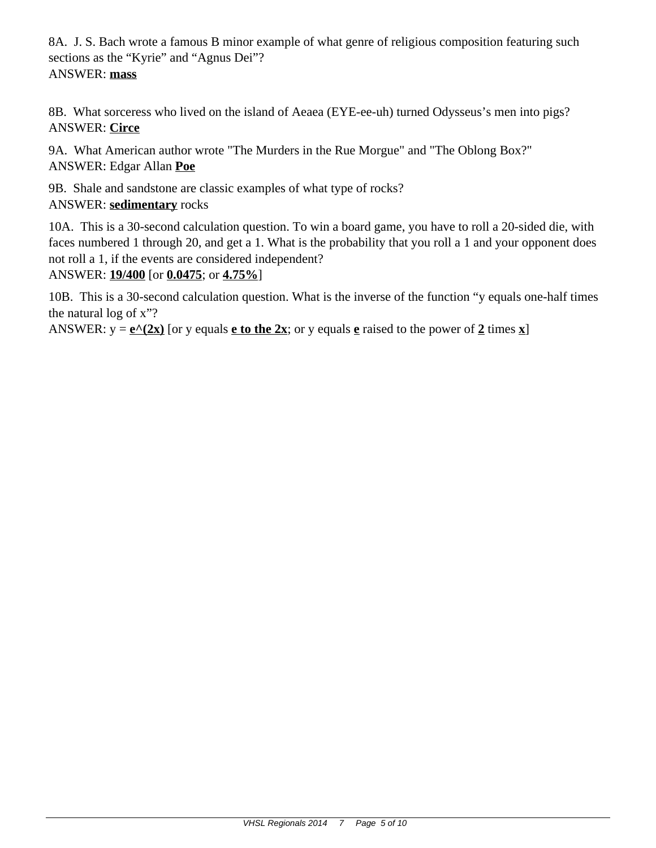8A. J. S. Bach wrote a famous B minor example of what genre of religious composition featuring such sections as the "Kyrie" and "Agnus Dei"? ANSWER: **mass**

8B. What sorceress who lived on the island of Aeaea (EYE-ee-uh) turned Odysseus's men into pigs? ANSWER: **Circe**

9A. What American author wrote "The Murders in the Rue Morgue" and "The Oblong Box?" ANSWER: Edgar Allan **Poe**

9B. Shale and sandstone are classic examples of what type of rocks? ANSWER: **sedimentary** rocks

10A. This is a 30-second calculation question. To win a board game, you have to roll a 20-sided die, with faces numbered 1 through 20, and get a 1. What is the probability that you roll a 1 and your opponent does not roll a 1, if the events are considered independent?

ANSWER: **19/400** [or **0.0475**; or **4.75%**]

10B. This is a 30-second calculation question. What is the inverse of the function "y equals one-half times the natural log of x"?

ANSWER:  $y = e^{\Lambda}(2x)$  [or y equals **e** to the 2x; or y equals **e** raised to the power of 2 times x]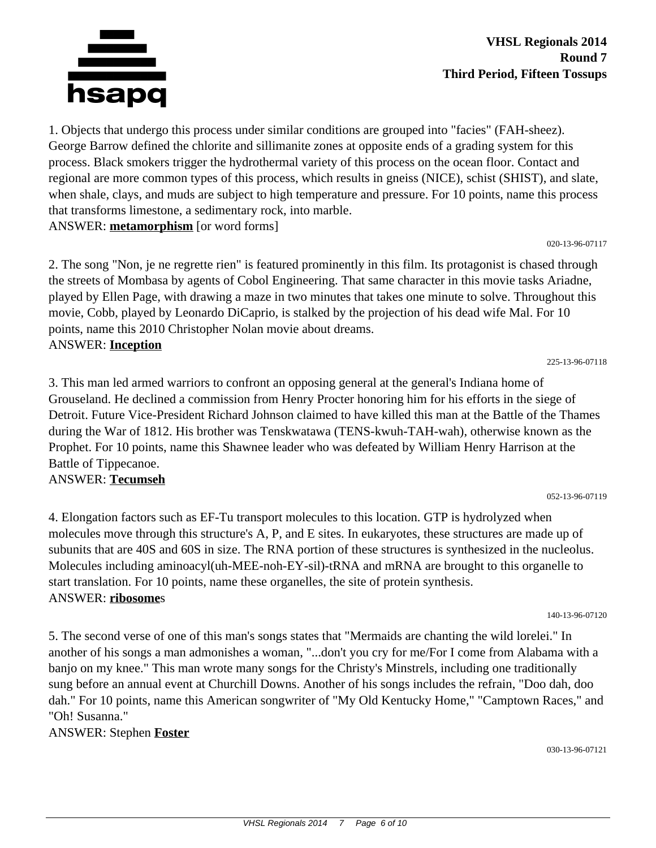

**VHSL Regionals 2014 Round 7 Third Period, Fifteen Tossups**

1. Objects that undergo this process under similar conditions are grouped into "facies" (FAH-sheez). George Barrow defined the chlorite and sillimanite zones at opposite ends of a grading system for this process. Black smokers trigger the hydrothermal variety of this process on the ocean floor. Contact and regional are more common types of this process, which results in gneiss (NICE), schist (SHIST), and slate, when shale, clays, and muds are subject to high temperature and pressure. For 10 points, name this process that transforms limestone, a sedimentary rock, into marble.

ANSWER: **metamorphism** [or word forms]

2. The song "Non, je ne regrette rien" is featured prominently in this film. Its protagonist is chased through the streets of Mombasa by agents of Cobol Engineering. That same character in this movie tasks Ariadne, played by Ellen Page, with drawing a maze in two minutes that takes one minute to solve. Throughout this movie, Cobb, played by Leonardo DiCaprio, is stalked by the projection of his dead wife Mal. For 10 points, name this 2010 Christopher Nolan movie about dreams. ANSWER: **Inception**

225-13-96-07118

020-13-96-07117

3. This man led armed warriors to confront an opposing general at the general's Indiana home of Grouseland. He declined a commission from Henry Procter honoring him for his efforts in the siege of Detroit. Future Vice-President Richard Johnson claimed to have killed this man at the Battle of the Thames during the War of 1812. His brother was Tenskwatawa (TENS-kwuh-TAH-wah), otherwise known as the Prophet. For 10 points, name this Shawnee leader who was defeated by William Henry Harrison at the Battle of Tippecanoe.

#### ANSWER: **Tecumseh**

4. Elongation factors such as EF-Tu transport molecules to this location. GTP is hydrolyzed when molecules move through this structure's A, P, and E sites. In eukaryotes, these structures are made up of subunits that are 40S and 60S in size. The RNA portion of these structures is synthesized in the nucleolus. Molecules including aminoacyl(uh-MEE-noh-EY-sil)-tRNA and mRNA are brought to this organelle to start translation. For 10 points, name these organelles, the site of protein synthesis. ANSWER: **ribosome**s

140-13-96-07120

052-13-96-07119

5. The second verse of one of this man's songs states that "Mermaids are chanting the wild lorelei." In another of his songs a man admonishes a woman, "...don't you cry for me/For I come from Alabama with a banjo on my knee." This man wrote many songs for the Christy's Minstrels, including one traditionally sung before an annual event at Churchill Downs. Another of his songs includes the refrain, "Doo dah, doo dah." For 10 points, name this American songwriter of "My Old Kentucky Home," "Camptown Races," and "Oh! Susanna."

ANSWER: Stephen **Foster**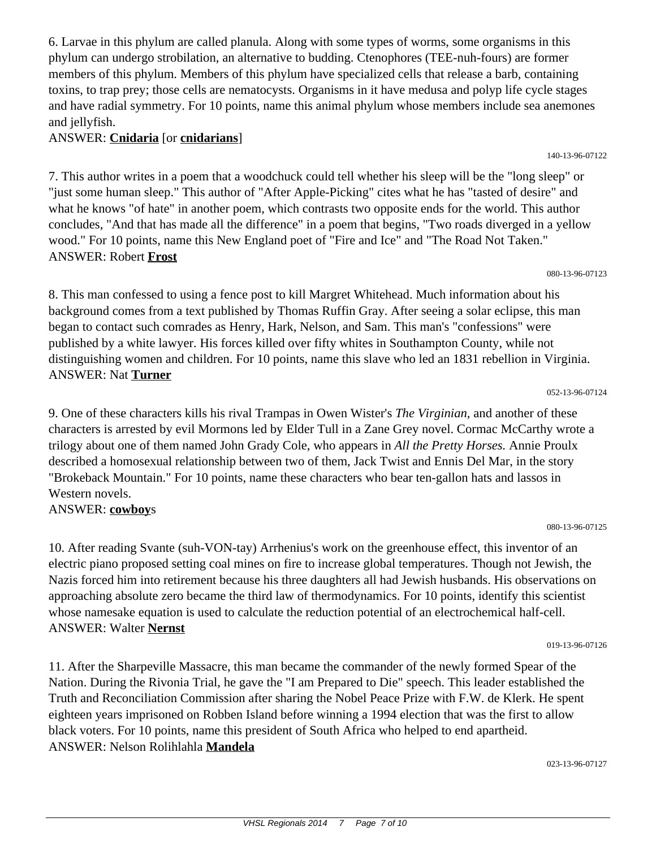6. Larvae in this phylum are called planula. Along with some types of worms, some organisms in this phylum can undergo strobilation, an alternative to budding. Ctenophores (TEE-nuh-fours) are former members of this phylum. Members of this phylum have specialized cells that release a barb, containing toxins, to trap prey; those cells are nematocysts. Organisms in it have medusa and polyp life cycle stages and have radial symmetry. For 10 points, name this animal phylum whose members include sea anemones and jellyfish.

### ANSWER: **Cnidaria** [or **cnidarians**]

7. This author writes in a poem that a woodchuck could tell whether his sleep will be the "long sleep" or "just some human sleep." This author of "After Apple-Picking" cites what he has "tasted of desire" and what he knows "of hate" in another poem, which contrasts two opposite ends for the world. This author concludes, "And that has made all the difference" in a poem that begins, "Two roads diverged in a yellow wood." For 10 points, name this New England poet of "Fire and Ice" and "The Road Not Taken." ANSWER: Robert **Frost**

080-13-96-07123

8. This man confessed to using a fence post to kill Margret Whitehead. Much information about his background comes from a text published by Thomas Ruffin Gray. After seeing a solar eclipse, this man began to contact such comrades as Henry, Hark, Nelson, and Sam. This man's "confessions" were published by a white lawyer. His forces killed over fifty whites in Southampton County, while not distinguishing women and children. For 10 points, name this slave who led an 1831 rebellion in Virginia. ANSWER: Nat **Turner**

052-13-96-07124

9. One of these characters kills his rival Trampas in Owen Wister's *The Virginian,* and another of these characters is arrested by evil Mormons led by Elder Tull in a Zane Grey novel. Cormac McCarthy wrote a trilogy about one of them named John Grady Cole, who appears in *All the Pretty Horses.* Annie Proulx described a homosexual relationship between two of them, Jack Twist and Ennis Del Mar, in the story "Brokeback Mountain." For 10 points, name these characters who bear ten-gallon hats and lassos in Western novels.

ANSWER: **cowboy**s

10. After reading Svante (suh-VON-tay) Arrhenius's work on the greenhouse effect, this inventor of an electric piano proposed setting coal mines on fire to increase global temperatures. Though not Jewish, the Nazis forced him into retirement because his three daughters all had Jewish husbands. His observations on approaching absolute zero became the third law of thermodynamics. For 10 points, identify this scientist whose namesake equation is used to calculate the reduction potential of an electrochemical half-cell. ANSWER: Walter **Nernst**

019-13-96-07126

080-13-96-07125

11. After the Sharpeville Massacre, this man became the commander of the newly formed Spear of the Nation. During the Rivonia Trial, he gave the "I am Prepared to Die" speech. This leader established the Truth and Reconciliation Commission after sharing the Nobel Peace Prize with F.W. de Klerk. He spent eighteen years imprisoned on Robben Island before winning a 1994 election that was the first to allow black voters. For 10 points, name this president of South Africa who helped to end apartheid. ANSWER: Nelson Rolihlahla **Mandela**

023-13-96-07127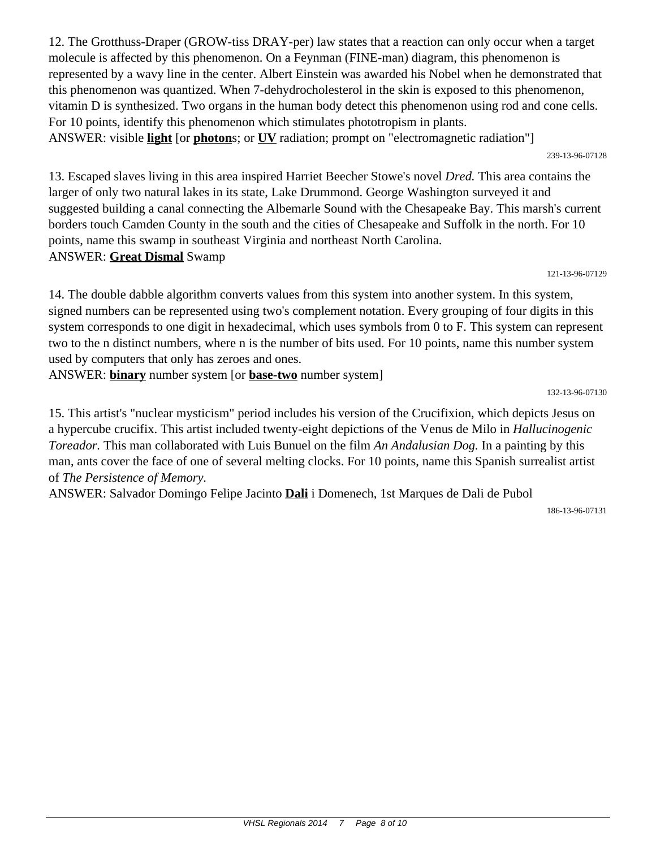12. The Grotthuss-Draper (GROW-tiss DRAY-per) law states that a reaction can only occur when a target molecule is affected by this phenomenon. On a Feynman (FINE-man) diagram, this phenomenon is represented by a wavy line in the center. Albert Einstein was awarded his Nobel when he demonstrated that this phenomenon was quantized. When 7-dehydrocholesterol in the skin is exposed to this phenomenon, vitamin D is synthesized. Two organs in the human body detect this phenomenon using rod and cone cells. For 10 points, identify this phenomenon which stimulates phototropism in plants. ANSWER: visible **light** [or **photon**s; or **UV** radiation; prompt on "electromagnetic radiation"]

239-13-96-07128

13. Escaped slaves living in this area inspired Harriet Beecher Stowe's novel *Dred.* This area contains the larger of only two natural lakes in its state, Lake Drummond. George Washington surveyed it and suggested building a canal connecting the Albemarle Sound with the Chesapeake Bay. This marsh's current borders touch Camden County in the south and the cities of Chesapeake and Suffolk in the north. For 10 points, name this swamp in southeast Virginia and northeast North Carolina. ANSWER: **Great Dismal** Swamp

121-13-96-07129

14. The double dabble algorithm converts values from this system into another system. In this system, signed numbers can be represented using two's complement notation. Every grouping of four digits in this system corresponds to one digit in hexadecimal, which uses symbols from 0 to F. This system can represent two to the n distinct numbers, where n is the number of bits used. For 10 points, name this number system used by computers that only has zeroes and ones.

ANSWER: **binary** number system [or **base-two** number system]

132-13-96-07130

15. This artist's "nuclear mysticism" period includes his version of the Crucifixion, which depicts Jesus on a hypercube crucifix. This artist included twenty-eight depictions of the Venus de Milo in *Hallucinogenic Toreador.* This man collaborated with Luis Bunuel on the film *An Andalusian Dog.* In a painting by this man, ants cover the face of one of several melting clocks. For 10 points, name this Spanish surrealist artist of *The Persistence of Memory.*

ANSWER: Salvador Domingo Felipe Jacinto **Dali** i Domenech, 1st Marques de Dali de Pubol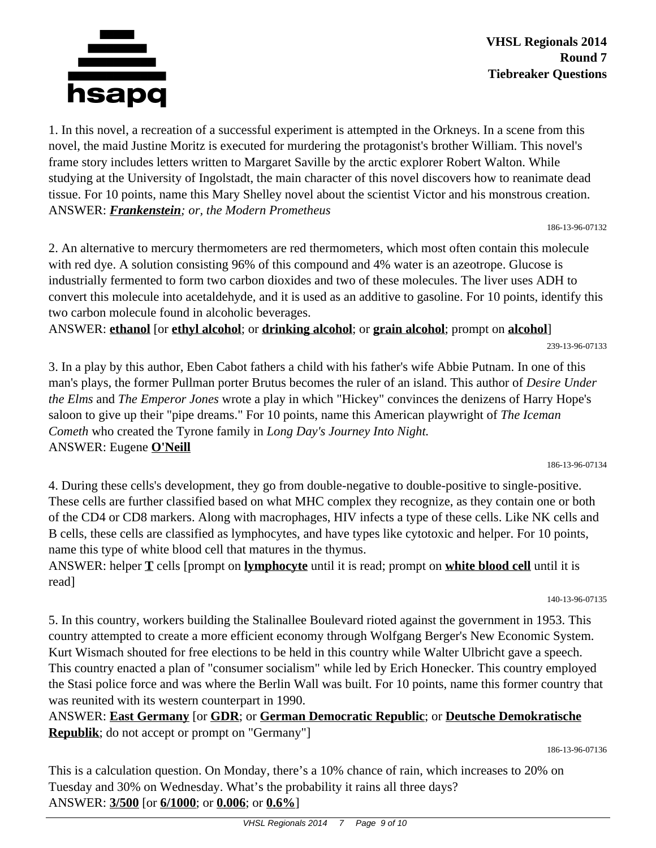

1. In this novel, a recreation of a successful experiment is attempted in the Orkneys. In a scene from this novel, the maid Justine Moritz is executed for murdering the protagonist's brother William. This novel's frame story includes letters written to Margaret Saville by the arctic explorer Robert Walton. While studying at the University of Ingolstadt, the main character of this novel discovers how to reanimate dead tissue. For 10 points, name this Mary Shelley novel about the scientist Victor and his monstrous creation. ANSWER: *Frankenstein; or, the Modern Prometheus*

186-13-96-07132

2. An alternative to mercury thermometers are red thermometers, which most often contain this molecule with red dye. A solution consisting 96% of this compound and 4% water is an azeotrope. Glucose is industrially fermented to form two carbon dioxides and two of these molecules. The liver uses ADH to convert this molecule into acetaldehyde, and it is used as an additive to gasoline. For 10 points, identify this two carbon molecule found in alcoholic beverages.

ANSWER: **ethanol** [or **ethyl alcohol**; or **drinking alcohol**; or **grain alcohol**; prompt on **alcohol**]

239-13-96-07133

3. In a play by this author, Eben Cabot fathers a child with his father's wife Abbie Putnam. In one of this man's plays, the former Pullman porter Brutus becomes the ruler of an island. This author of *Desire Under the Elms* and *The Emperor Jones* wrote a play in which "Hickey" convinces the denizens of Harry Hope's saloon to give up their "pipe dreams." For 10 points, name this American playwright of *The Iceman Cometh* who created the Tyrone family in *Long Day's Journey Into Night.* ANSWER: Eugene **O'Neill**

186-13-96-07134

4. During these cells's development, they go from double-negative to double-positive to single-positive. These cells are further classified based on what MHC complex they recognize, as they contain one or both of the CD4 or CD8 markers. Along with macrophages, HIV infects a type of these cells. Like NK cells and B cells, these cells are classified as lymphocytes, and have types like cytotoxic and helper. For 10 points, name this type of white blood cell that matures in the thymus.

ANSWER: helper **T** cells [prompt on **lymphocyte** until it is read; prompt on **white blood cell** until it is read]

140-13-96-07135

5. In this country, workers building the Stalinallee Boulevard rioted against the government in 1953. This country attempted to create a more efficient economy through Wolfgang Berger's New Economic System. Kurt Wismach shouted for free elections to be held in this country while Walter Ulbricht gave a speech. This country enacted a plan of "consumer socialism" while led by Erich Honecker. This country employed the Stasi police force and was where the Berlin Wall was built. For 10 points, name this former country that was reunited with its western counterpart in 1990.

ANSWER: **East Germany** [or **GDR**; or **German Democratic Republic**; or **Deutsche Demokratische Republik**; do not accept or prompt on "Germany"]

186-13-96-07136

This is a calculation question. On Monday, there's a 10% chance of rain, which increases to 20% on Tuesday and 30% on Wednesday. What's the probability it rains all three days? ANSWER: **3/500** [or **6/1000**; or **0.006**; or **0.6%**]